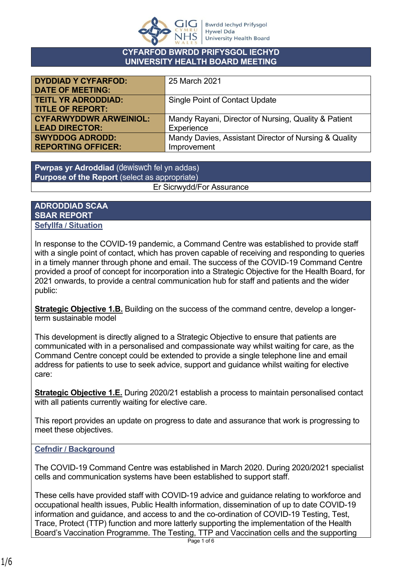

#### **CYFARFOD BWRDD PRIFYSGOL IECHYD UNIVERSITY HEALTH BOARD MEETING**

| <b>DYDDIAD Y CYFARFOD:</b><br><b>DATE OF MEETING:</b> | 25 March 2021                                         |  |
|-------------------------------------------------------|-------------------------------------------------------|--|
| <b>TEITL YR ADRODDIAD:</b><br><b>TITLE OF REPORT:</b> | <b>Single Point of Contact Update</b>                 |  |
| <b>CYFARWYDDWR ARWEINIOL:</b>                         | Mandy Rayani, Director of Nursing, Quality & Patient  |  |
| <b>LEAD DIRECTOR:</b>                                 | Experience                                            |  |
| <b>SWYDDOG ADRODD:</b>                                | Mandy Davies, Assistant Director of Nursing & Quality |  |
| <b>REPORTING OFFICER:</b>                             | Improvement                                           |  |

**Pwrpas yr Adroddiad** (dewiswch fel yn addas) **Purpose of the Report** (select as appropriate) Er Sicrwydd/For Assurance

#### **ADRODDIAD SCAA SBAR REPORT Sefyllfa / Situation**

In response to the COVID-19 pandemic, a Command Centre was established to provide staff with a single point of contact, which has proven capable of receiving and responding to queries in a timely manner through phone and email. The success of the COVID-19 Command Centre provided a proof of concept for incorporation into a Strategic Objective for the Health Board, for 2021 onwards, to provide a central communication hub for staff and patients and the wider public:

**Strategic Objective 1.B.** Building on the success of the command centre, develop a longerterm sustainable model

This development is directly aligned to a Strategic Objective to ensure that patients are communicated with in a personalised and compassionate way whilst waiting for care, as the Command Centre concept could be extended to provide a single telephone line and email address for patients to use to seek advice, support and guidance whilst waiting for elective care:

**Strategic Objective 1.E.** During 2020/21 establish a process to maintain personalised contact with all patients currently waiting for elective care.

This report provides an update on progress to date and assurance that work is progressing to meet these objectives.

# **Cefndir / Background**

The COVID-19 Command Centre was established in March 2020. During 2020/2021 specialist cells and communication systems have been established to support staff.

These cells have provided staff with COVID-19 advice and guidance relating to workforce and occupational health issues, Public Health information, dissemination of up to date COVID-19 information and guidance, and access to and the co-ordination of COVID-19 Testing, Test, Trace, Protect (TTP) function and more latterly supporting the implementation of the Health Board's Vaccination Programme. The Testing, TTP and Vaccination cells and the supporting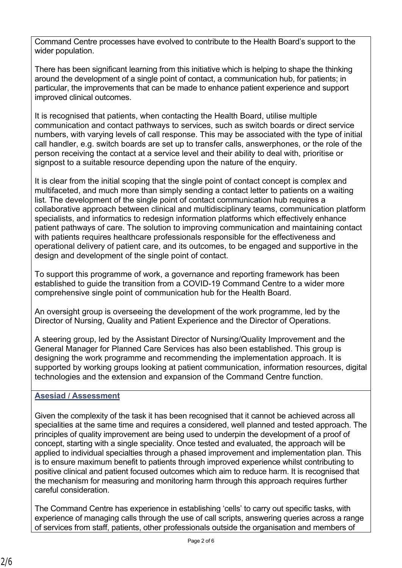Command Centre processes have evolved to contribute to the Health Board's support to the wider population.

There has been significant learning from this initiative which is helping to shape the thinking around the development of a single point of contact, a communication hub, for patients; in particular, the improvements that can be made to enhance patient experience and support improved clinical outcomes.

It is recognised that patients, when contacting the Health Board, utilise multiple communication and contact pathways to services, such as switch boards or direct service numbers, with varying levels of call response. This may be associated with the type of initial call handler, e.g. switch boards are set up to transfer calls, answerphones, or the role of the person receiving the contact at a service level and their ability to deal with, prioritise or signpost to a suitable resource depending upon the nature of the enquiry.

It is clear from the initial scoping that the single point of contact concept is complex and multifaceted, and much more than simply sending a contact letter to patients on a waiting list. The development of the single point of contact communication hub requires a collaborative approach between clinical and multidisciplinary teams, communication platform specialists, and informatics to redesign information platforms which effectively enhance patient pathways of care. The solution to improving communication and maintaining contact with patients requires healthcare professionals responsible for the effectiveness and operational delivery of patient care, and its outcomes, to be engaged and supportive in the design and development of the single point of contact.

To support this programme of work, a governance and reporting framework has been established to guide the transition from a COVID-19 Command Centre to a wider more comprehensive single point of communication hub for the Health Board.

An oversight group is overseeing the development of the work programme, led by the Director of Nursing, Quality and Patient Experience and the Director of Operations.

A steering group, led by the Assistant Director of Nursing/Quality Improvement and the General Manager for Planned Care Services has also been established. This group is designing the work programme and recommending the implementation approach. It is supported by working groups looking at patient communication, information resources, digital technologies and the extension and expansion of the Command Centre function.

# **Asesiad / Assessment**

Given the complexity of the task it has been recognised that it cannot be achieved across all specialities at the same time and requires a considered, well planned and tested approach. The principles of quality improvement are being used to underpin the development of a proof of concept, starting with a single speciality. Once tested and evaluated, the approach will be applied to individual specialties through a phased improvement and implementation plan. This is to ensure maximum benefit to patients through improved experience whilst contributing to positive clinical and patient focused outcomes which aim to reduce harm. It is recognised that the mechanism for measuring and monitoring harm through this approach requires further careful consideration.

The Command Centre has experience in establishing 'cells' to carry out specific tasks, with experience of managing calls through the use of call scripts, answering queries across a range of services from staff, patients, other professionals outside the organisation and members of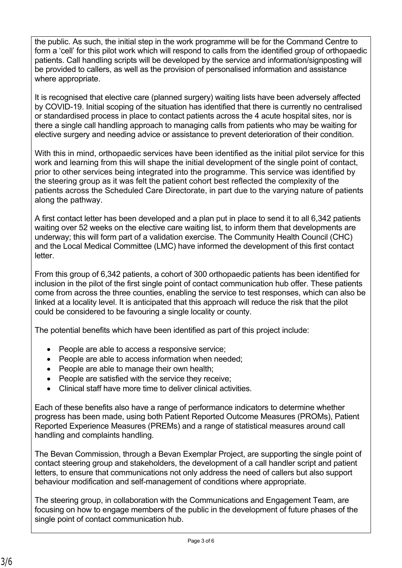the public. As such, the initial step in the work programme will be for the Command Centre to form a 'cell' for this pilot work which will respond to calls from the identified group of orthopaedic patients. Call handling scripts will be developed by the service and information/signposting will be provided to callers, as well as the provision of personalised information and assistance where appropriate.

It is recognised that elective care (planned surgery) waiting lists have been adversely affected by COVID-19. Initial scoping of the situation has identified that there is currently no centralised or standardised process in place to contact patients across the 4 acute hospital sites, nor is there a single call handling approach to managing calls from patients who may be waiting for elective surgery and needing advice or assistance to prevent deterioration of their condition.

With this in mind, orthopaedic services have been identified as the initial pilot service for this work and learning from this will shape the initial development of the single point of contact, prior to other services being integrated into the programme. This service was identified by the steering group as it was felt the patient cohort best reflected the complexity of the patients across the Scheduled Care Directorate, in part due to the varying nature of patients along the pathway.

A first contact letter has been developed and a plan put in place to send it to all 6,342 patients waiting over 52 weeks on the elective care waiting list, to inform them that developments are underway; this will form part of a validation exercise. The Community Health Council (CHC) and the Local Medical Committee (LMC) have informed the development of this first contact **letter** 

From this group of 6,342 patients, a cohort of 300 orthopaedic patients has been identified for inclusion in the pilot of the first single point of contact communication hub offer. These patients come from across the three counties, enabling the service to test responses, which can also be linked at a locality level. It is anticipated that this approach will reduce the risk that the pilot could be considered to be favouring a single locality or county.

The potential benefits which have been identified as part of this project include:

- People are able to access a responsive service;
- People are able to access information when needed:
- People are able to manage their own health;
- People are satisfied with the service they receive;
- Clinical staff have more time to deliver clinical activities.

Each of these benefits also have a range of performance indicators to determine whether progress has been made, using both Patient Reported Outcome Measures (PROMs), Patient Reported Experience Measures (PREMs) and a range of statistical measures around call handling and complaints handling.

The Bevan Commission, through a Bevan Exemplar Project, are supporting the single point of contact steering group and stakeholders, the development of a call handler script and patient letters, to ensure that communications not only address the need of callers but also support behaviour modification and self-management of conditions where appropriate.

The steering group, in collaboration with the Communications and Engagement Team, are focusing on how to engage members of the public in the development of future phases of the single point of contact communication hub.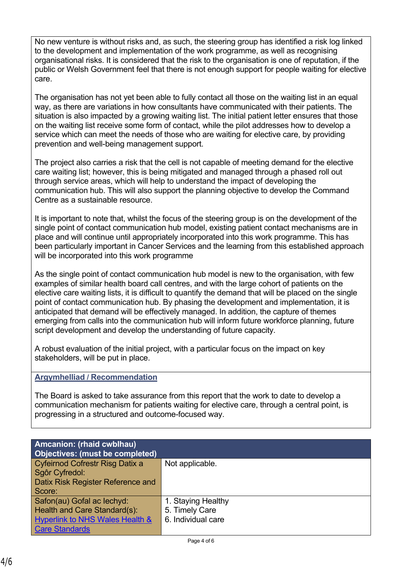No new venture is without risks and, as such, the steering group has identified a risk log linked to the development and implementation of the work programme, as well as recognising organisational risks. It is considered that the risk to the organisation is one of reputation, if the public or Welsh Government feel that there is not enough support for people waiting for elective care.

The organisation has not yet been able to fully contact all those on the waiting list in an equal way, as there are variations in how consultants have communicated with their patients. The situation is also impacted by a growing waiting list. The initial patient letter ensures that those on the waiting list receive some form of contact, while the pilot addresses how to develop a service which can meet the needs of those who are waiting for elective care, by providing prevention and well-being management support.

The project also carries a risk that the cell is not capable of meeting demand for the elective care waiting list; however, this is being mitigated and managed through a phased roll out through service areas, which will help to understand the impact of developing the communication hub. This will also support the planning objective to develop the Command Centre as a sustainable resource.

It is important to note that, whilst the focus of the steering group is on the development of the single point of contact communication hub model, existing patient contact mechanisms are in place and will continue until appropriately incorporated into this work programme. This has been particularly important in Cancer Services and the learning from this established approach will be incorporated into this work programme

As the single point of contact communication hub model is new to the organisation, with few examples of similar health board call centres, and with the large cohort of patients on the elective care waiting lists, it is difficult to quantify the demand that will be placed on the single point of contact communication hub. By phasing the development and implementation, it is anticipated that demand will be effectively managed. In addition, the capture of themes emerging from calls into the communication hub will inform future workforce planning, future script development and develop the understanding of future capacity.

A robust evaluation of the initial project, with a particular focus on the impact on key stakeholders, will be put in place.

### **Argymhelliad / Recommendation**

The Board is asked to take assurance from this report that the work to date to develop a communication mechanism for patients waiting for elective care, through a central point, is progressing in a structured and outcome-focused way.

| <b>Amcanion: (rhaid cwblhau)</b><br>Objectives: (must be completed) |                    |  |
|---------------------------------------------------------------------|--------------------|--|
| <b>Cyfeirnod Cofrestr Risg Datix a</b>                              | Not applicable.    |  |
| Sgôr Cyfredol:                                                      |                    |  |
| Datix Risk Register Reference and                                   |                    |  |
| Score:                                                              |                    |  |
| Safon(au) Gofal ac lechyd:                                          | 1. Staying Healthy |  |
| Health and Care Standard(s):                                        | 5. Timely Care     |  |
| <b>Hyperlink to NHS Wales Health &amp;</b>                          | 6. Individual care |  |
| <b>Care Standards</b>                                               |                    |  |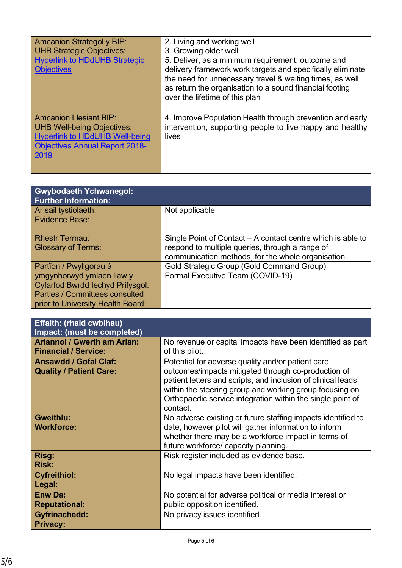| <b>Amcanion Strategol y BIP:</b><br><b>UHB Strategic Objectives:</b><br><b>Hyperlink to HDdUHB Strategic</b><br><b>Objectives</b>                            | 2. Living and working well<br>3. Growing older well<br>5. Deliver, as a minimum requirement, outcome and<br>delivery framework work targets and specifically eliminate<br>the need for unnecessary travel & waiting times, as well<br>as return the organisation to a sound financial footing<br>over the lifetime of this plan |
|--------------------------------------------------------------------------------------------------------------------------------------------------------------|---------------------------------------------------------------------------------------------------------------------------------------------------------------------------------------------------------------------------------------------------------------------------------------------------------------------------------|
| <b>Amcanion Llesiant BIP:</b><br><b>UHB Well-being Objectives:</b><br><b>Hyperlink to HDdUHB Well-being</b><br><b>Objectives Annual Report 2018-</b><br>2019 | 4. Improve Population Health through prevention and early<br>intervention, supporting people to live happy and healthy<br>lives                                                                                                                                                                                                 |

| <b>Gwybodaeth Ychwanegol:</b><br><b>Further Information:</b> |                                                                                                       |
|--------------------------------------------------------------|-------------------------------------------------------------------------------------------------------|
| Ar sail tystiolaeth:<br>Evidence Base:                       | Not applicable                                                                                        |
| <b>Rhestr Termau:</b>                                        | Single Point of Contact – A contact centre which is able to                                           |
| <b>Glossary of Terms:</b>                                    | respond to multiple queries, through a range of<br>communication methods, for the whole organisation. |
| Partïon / Pwyllgorau â                                       | Gold Strategic Group (Gold Command Group)                                                             |
| ymgynhorwyd ymlaen llaw y                                    | Formal Executive Team (COVID-19)                                                                      |
| <b>Cyfarfod Bwrdd lechyd Prifysgol:</b>                      |                                                                                                       |
| Parties / Committees consulted                               |                                                                                                       |
| prior to University Health Board:                            |                                                                                                       |

| <b>Effaith: (rhaid cwblhau)</b>    |                                                                                                                                                                                                                                                          |  |  |
|------------------------------------|----------------------------------------------------------------------------------------------------------------------------------------------------------------------------------------------------------------------------------------------------------|--|--|
| Impact: (must be completed)        |                                                                                                                                                                                                                                                          |  |  |
| <b>Ariannol / Gwerth am Arian:</b> | No revenue or capital impacts have been identified as part                                                                                                                                                                                               |  |  |
| <b>Financial / Service:</b>        | of this pilot.                                                                                                                                                                                                                                           |  |  |
| <b>Ansawdd / Gofal Claf:</b>       | Potential for adverse quality and/or patient care                                                                                                                                                                                                        |  |  |
| <b>Quality / Patient Care:</b>     | outcomes/impacts mitigated through co-production of<br>patient letters and scripts, and inclusion of clinical leads<br>within the steering group and working group focusing on<br>Orthopaedic service integration within the single point of<br>contact. |  |  |
| <b>Gweithlu:</b>                   | No adverse existing or future staffing impacts identified to                                                                                                                                                                                             |  |  |
| <b>Workforce:</b>                  | date, however pilot will gather information to inform                                                                                                                                                                                                    |  |  |
|                                    | whether there may be a workforce impact in terms of                                                                                                                                                                                                      |  |  |
|                                    | future workforce/ capacity planning.                                                                                                                                                                                                                     |  |  |
| Risg:                              | Risk register included as evidence base.                                                                                                                                                                                                                 |  |  |
| <b>Risk:</b>                       |                                                                                                                                                                                                                                                          |  |  |
| <b>Cyfreithiol:</b>                | No legal impacts have been identified.                                                                                                                                                                                                                   |  |  |
| Legal:                             |                                                                                                                                                                                                                                                          |  |  |
| <b>Enw Da:</b>                     | No potential for adverse political or media interest or                                                                                                                                                                                                  |  |  |
| <b>Reputational:</b>               | public opposition identified.                                                                                                                                                                                                                            |  |  |
| <b>Gyfrinachedd:</b>               | No privacy issues identified.                                                                                                                                                                                                                            |  |  |
| <b>Privacy:</b>                    |                                                                                                                                                                                                                                                          |  |  |